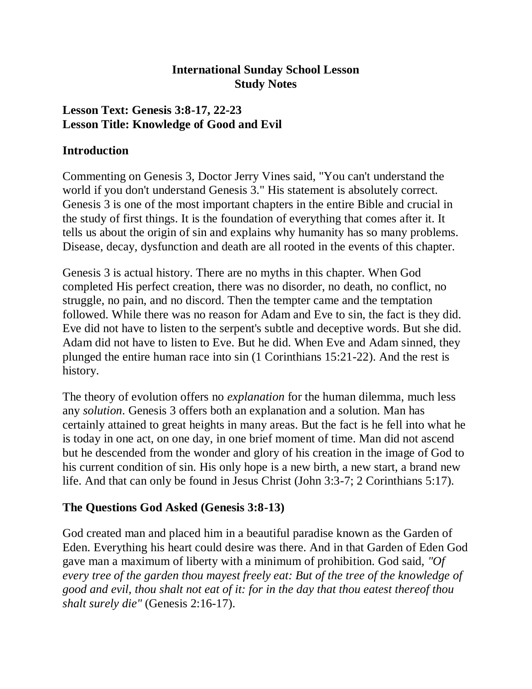### **International Sunday School Lesson Study Notes**

### **Lesson Text: Genesis 3:8-17, 22-23 Lesson Title: Knowledge of Good and Evil**

#### **Introduction**

Commenting on Genesis 3, Doctor Jerry Vines said, "You can't understand the world if you don't understand Genesis 3." His statement is absolutely correct. Genesis 3 is one of the most important chapters in the entire Bible and crucial in the study of first things. It is the foundation of everything that comes after it. It tells us about the origin of sin and explains why humanity has so many problems. Disease, decay, dysfunction and death are all rooted in the events of this chapter.

Genesis 3 is actual history. There are no myths in this chapter. When God completed His perfect creation, there was no disorder, no death, no conflict, no struggle, no pain, and no discord. Then the tempter came and the temptation followed. While there was no reason for Adam and Eve to sin, the fact is they did. Eve did not have to listen to the serpent's subtle and deceptive words. But she did. Adam did not have to listen to Eve. But he did. When Eve and Adam sinned, they plunged the entire human race into sin (1 Corinthians 15:21-22). And the rest is history.

The theory of evolution offers no *explanation* for the human dilemma, much less any *solution*. Genesis 3 offers both an explanation and a solution. Man has certainly attained to great heights in many areas. But the fact is he fell into what he is today in one act, on one day, in one brief moment of time. Man did not ascend but he descended from the wonder and glory of his creation in the image of God to his current condition of sin. His only hope is a new birth, a new start, a brand new life. And that can only be found in Jesus Christ (John 3:3-7; 2 Corinthians 5:17).

## **The Questions God Asked (Genesis 3:8-13)**

God created man and placed him in a beautiful paradise known as the Garden of Eden. Everything his heart could desire was there. And in that Garden of Eden God gave man a maximum of liberty with a minimum of prohibition. God said, *"Of every tree of the garden thou mayest freely eat: But of the tree of the knowledge of good and evil, thou shalt not eat of it: for in the day that thou eatest thereof thou shalt surely die"* (Genesis 2:16-17).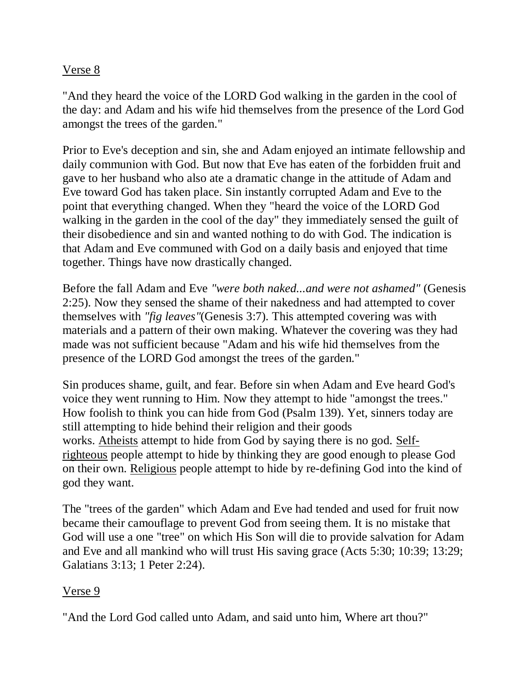#### Verse 8

"And they heard the voice of the LORD God walking in the garden in the cool of the day: and Adam and his wife hid themselves from the presence of the Lord God amongst the trees of the garden."

Prior to Eve's deception and sin, she and Adam enjoyed an intimate fellowship and daily communion with God. But now that Eve has eaten of the forbidden fruit and gave to her husband who also ate a dramatic change in the attitude of Adam and Eve toward God has taken place. Sin instantly corrupted Adam and Eve to the point that everything changed. When they "heard the voice of the LORD God walking in the garden in the cool of the day" they immediately sensed the guilt of their disobedience and sin and wanted nothing to do with God. The indication is that Adam and Eve communed with God on a daily basis and enjoyed that time together. Things have now drastically changed.

Before the fall Adam and Eve *"were both naked...and were not ashamed"* (Genesis 2:25). Now they sensed the shame of their nakedness and had attempted to cover themselves with *"fig leaves"*(Genesis 3:7). This attempted covering was with materials and a pattern of their own making. Whatever the covering was they had made was not sufficient because "Adam and his wife hid themselves from the presence of the LORD God amongst the trees of the garden."

Sin produces shame, guilt, and fear. Before sin when Adam and Eve heard God's voice they went running to Him. Now they attempt to hide "amongst the trees." How foolish to think you can hide from God (Psalm 139). Yet, sinners today are still attempting to hide behind their religion and their goods works. Atheists attempt to hide from God by saying there is no god. Selfrighteous people attempt to hide by thinking they are good enough to please God on their own. Religious people attempt to hide by re-defining God into the kind of god they want.

The "trees of the garden" which Adam and Eve had tended and used for fruit now became their camouflage to prevent God from seeing them. It is no mistake that God will use a one "tree" on which His Son will die to provide salvation for Adam and Eve and all mankind who will trust His saving grace (Acts 5:30; 10:39; 13:29; Galatians 3:13; 1 Peter 2:24).

## Verse 9

"And the Lord God called unto Adam, and said unto him, Where art thou?"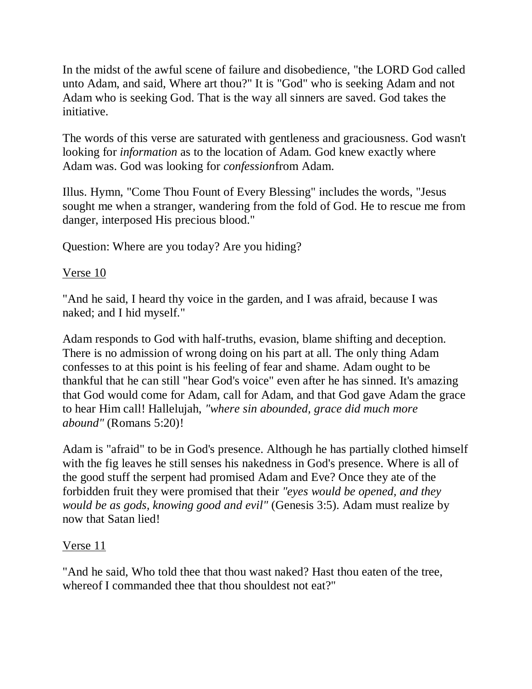In the midst of the awful scene of failure and disobedience, "the LORD God called unto Adam, and said, Where art thou?" It is "God" who is seeking Adam and not Adam who is seeking God. That is the way all sinners are saved. God takes the initiative.

The words of this verse are saturated with gentleness and graciousness. God wasn't looking for *information* as to the location of Adam. God knew exactly where Adam was. God was looking for *confession*from Adam.

Illus. Hymn, "Come Thou Fount of Every Blessing" includes the words, "Jesus sought me when a stranger, wandering from the fold of God. He to rescue me from danger, interposed His precious blood."

Question: Where are you today? Are you hiding?

### Verse 10

"And he said, I heard thy voice in the garden, and I was afraid, because I was naked; and I hid myself."

Adam responds to God with half-truths, evasion, blame shifting and deception. There is no admission of wrong doing on his part at all. The only thing Adam confesses to at this point is his feeling of fear and shame. Adam ought to be thankful that he can still "hear God's voice" even after he has sinned. It's amazing that God would come for Adam, call for Adam, and that God gave Adam the grace to hear Him call! Hallelujah, *"where sin abounded, grace did much more abound"* (Romans 5:20)!

Adam is "afraid" to be in God's presence. Although he has partially clothed himself with the fig leaves he still senses his nakedness in God's presence. Where is all of the good stuff the serpent had promised Adam and Eve? Once they ate of the forbidden fruit they were promised that their *"eyes would be opened, and they would be as gods, knowing good and evil"* (Genesis 3:5). Adam must realize by now that Satan lied!

## Verse 11

"And he said, Who told thee that thou wast naked? Hast thou eaten of the tree, whereof I commanded thee that thou shouldest not eat?"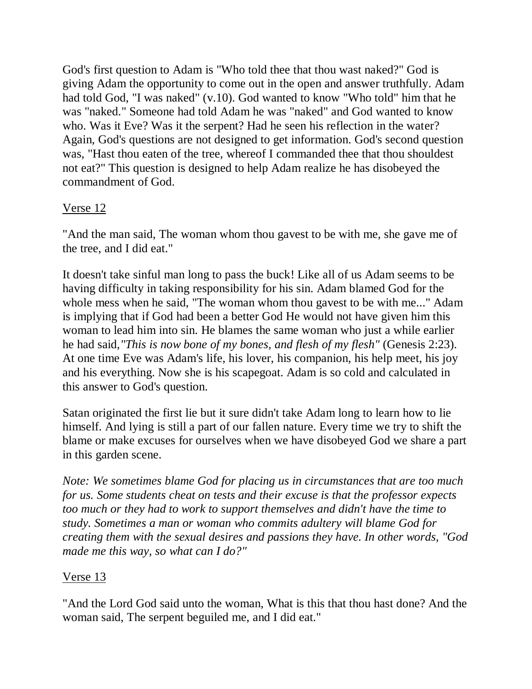God's first question to Adam is "Who told thee that thou wast naked?" God is giving Adam the opportunity to come out in the open and answer truthfully. Adam had told God, "I was naked" (v.10). God wanted to know "Who told" him that he was "naked." Someone had told Adam he was "naked" and God wanted to know who. Was it Eve? Was it the serpent? Had he seen his reflection in the water? Again, God's questions are not designed to get information. God's second question was, "Hast thou eaten of the tree, whereof I commanded thee that thou shouldest not eat?" This question is designed to help Adam realize he has disobeyed the commandment of God.

# Verse 12

"And the man said, The woman whom thou gavest to be with me, she gave me of the tree, and I did eat."

It doesn't take sinful man long to pass the buck! Like all of us Adam seems to be having difficulty in taking responsibility for his sin. Adam blamed God for the whole mess when he said, "The woman whom thou gavest to be with me..." Adam is implying that if God had been a better God He would not have given him this woman to lead him into sin. He blames the same woman who just a while earlier he had said,*"This is now bone of my bones, and flesh of my flesh"* (Genesis 2:23). At one time Eve was Adam's life, his lover, his companion, his help meet, his joy and his everything. Now she is his scapegoat. Adam is so cold and calculated in this answer to God's question.

Satan originated the first lie but it sure didn't take Adam long to learn how to lie himself. And lying is still a part of our fallen nature. Every time we try to shift the blame or make excuses for ourselves when we have disobeyed God we share a part in this garden scene.

*Note: We sometimes blame God for placing us in circumstances that are too much for us. Some students cheat on tests and their excuse is that the professor expects too much or they had to work to support themselves and didn't have the time to study. Sometimes a man or woman who commits adultery will blame God for creating them with the sexual desires and passions they have. In other words, "God made me this way, so what can I do?"*

# Verse 13

"And the Lord God said unto the woman, What is this that thou hast done? And the woman said, The serpent beguiled me, and I did eat."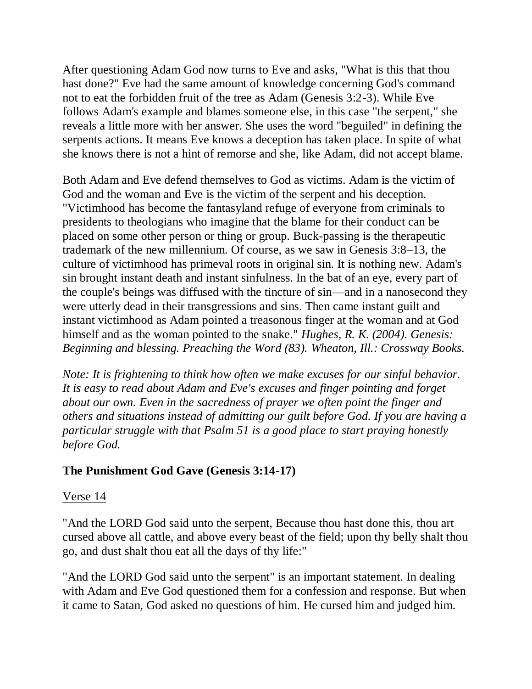After questioning Adam God now turns to Eve and asks, "What is this that thou hast done?" Eve had the same amount of knowledge concerning God's command not to eat the forbidden fruit of the tree as Adam (Genesis 3:2-3). While Eve follows Adam's example and blames someone else, in this case "the serpent," she reveals a little more with her answer. She uses the word "beguiled" in defining the serpents actions. It means Eve knows a deception has taken place. In spite of what she knows there is not a hint of remorse and she, like Adam, did not accept blame.

Both Adam and Eve defend themselves to God as victims. Adam is the victim of God and the woman and Eve is the victim of the serpent and his deception. "Victimhood has become the fantasyland refuge of everyone from criminals to presidents to theologians who imagine that the blame for their conduct can be placed on some other person or thing or group. Buck-passing is the therapeutic trademark of the new millennium. Of course, as we saw in Genesis 3:8–13, the culture of victimhood has primeval roots in original sin. It is nothing new. Adam's sin brought instant death and instant sinfulness. In the bat of an eye, every part of the couple's beings was diffused with the tincture of sin—and in a nanosecond they were utterly dead in their transgressions and sins. Then came instant guilt and instant victimhood as Adam pointed a treasonous finger at the woman and at God himself and as the woman pointed to the snake." *Hughes, R. K. (2004). Genesis: Beginning and blessing. Preaching the Word (83). Wheaton, Ill.: Crossway Books.*

*Note: It is frightening to think how often we make excuses for our sinful behavior. It is easy to read about Adam and Eve's excuses and finger pointing and forget about our own. Even in the sacredness of prayer we often point the finger and others and situations instead of admitting our guilt before God. If you are having a particular struggle with that Psalm 51 is a good place to start praying honestly before God.*

## **The Punishment God Gave (Genesis 3:14-17)**

#### Verse 14

"And the LORD God said unto the serpent, Because thou hast done this, thou art cursed above all cattle, and above every beast of the field; upon thy belly shalt thou go, and dust shalt thou eat all the days of thy life:"

"And the LORD God said unto the serpent" is an important statement. In dealing with Adam and Eve God questioned them for a confession and response. But when it came to Satan, God asked no questions of him. He cursed him and judged him.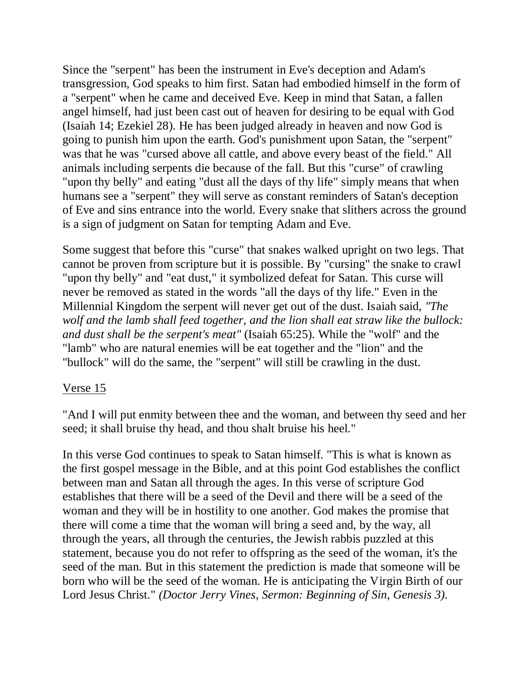Since the "serpent" has been the instrument in Eve's deception and Adam's transgression, God speaks to him first. Satan had embodied himself in the form of a "serpent" when he came and deceived Eve. Keep in mind that Satan, a fallen angel himself, had just been cast out of heaven for desiring to be equal with God (Isaiah 14; Ezekiel 28). He has been judged already in heaven and now God is going to punish him upon the earth. God's punishment upon Satan, the "serpent" was that he was "cursed above all cattle, and above every beast of the field." All animals including serpents die because of the fall. But this "curse" of crawling "upon thy belly" and eating "dust all the days of thy life" simply means that when humans see a "serpent" they will serve as constant reminders of Satan's deception of Eve and sins entrance into the world. Every snake that slithers across the ground is a sign of judgment on Satan for tempting Adam and Eve.

Some suggest that before this "curse" that snakes walked upright on two legs. That cannot be proven from scripture but it is possible. By "cursing" the snake to crawl "upon thy belly" and "eat dust," it symbolized defeat for Satan. This curse will never be removed as stated in the words "all the days of thy life." Even in the Millennial Kingdom the serpent will never get out of the dust. Isaiah said, *"The wolf and the lamb shall feed together, and the lion shall eat straw like the bullock: and dust shall be the serpent's meat"* (Isaiah 65:25). While the "wolf" and the "lamb" who are natural enemies will be eat together and the "lion" and the "bullock" will do the same, the "serpent" will still be crawling in the dust.

#### Verse 15

"And I will put enmity between thee and the woman, and between thy seed and her seed; it shall bruise thy head, and thou shalt bruise his heel."

In this verse God continues to speak to Satan himself. "This is what is known as the first gospel message in the Bible, and at this point God establishes the conflict between man and Satan all through the ages. In this verse of scripture God establishes that there will be a seed of the Devil and there will be a seed of the woman and they will be in hostility to one another. God makes the promise that there will come a time that the woman will bring a seed and, by the way, all through the years, all through the centuries, the Jewish rabbis puzzled at this statement, because you do not refer to offspring as the seed of the woman, it's the seed of the man. But in this statement the prediction is made that someone will be born who will be the seed of the woman. He is anticipating the Virgin Birth of our Lord Jesus Christ." *(Doctor Jerry Vines, Sermon: Beginning of Sin, Genesis 3).*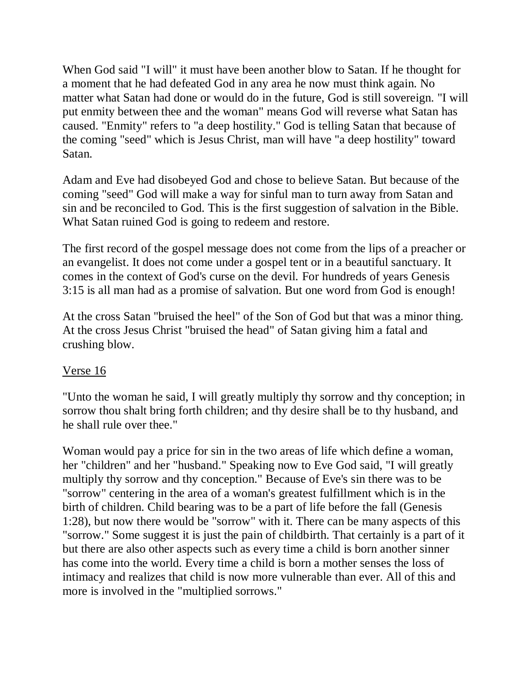When God said "I will" it must have been another blow to Satan. If he thought for a moment that he had defeated God in any area he now must think again. No matter what Satan had done or would do in the future, God is still sovereign. "I will put enmity between thee and the woman" means God will reverse what Satan has caused. "Enmity" refers to "a deep hostility." God is telling Satan that because of the coming "seed" which is Jesus Christ, man will have "a deep hostility" toward Satan.

Adam and Eve had disobeyed God and chose to believe Satan. But because of the coming "seed" God will make a way for sinful man to turn away from Satan and sin and be reconciled to God. This is the first suggestion of salvation in the Bible. What Satan ruined God is going to redeem and restore.

The first record of the gospel message does not come from the lips of a preacher or an evangelist. It does not come under a gospel tent or in a beautiful sanctuary. It comes in the context of God's curse on the devil. For hundreds of years Genesis 3:15 is all man had as a promise of salvation. But one word from God is enough!

At the cross Satan "bruised the heel" of the Son of God but that was a minor thing. At the cross Jesus Christ "bruised the head" of Satan giving him a fatal and crushing blow.

## Verse 16

"Unto the woman he said, I will greatly multiply thy sorrow and thy conception; in sorrow thou shalt bring forth children; and thy desire shall be to thy husband, and he shall rule over thee."

Woman would pay a price for sin in the two areas of life which define a woman, her "children" and her "husband." Speaking now to Eve God said, "I will greatly multiply thy sorrow and thy conception." Because of Eve's sin there was to be "sorrow" centering in the area of a woman's greatest fulfillment which is in the birth of children. Child bearing was to be a part of life before the fall (Genesis 1:28), but now there would be "sorrow" with it. There can be many aspects of this "sorrow." Some suggest it is just the pain of childbirth. That certainly is a part of it but there are also other aspects such as every time a child is born another sinner has come into the world. Every time a child is born a mother senses the loss of intimacy and realizes that child is now more vulnerable than ever. All of this and more is involved in the "multiplied sorrows."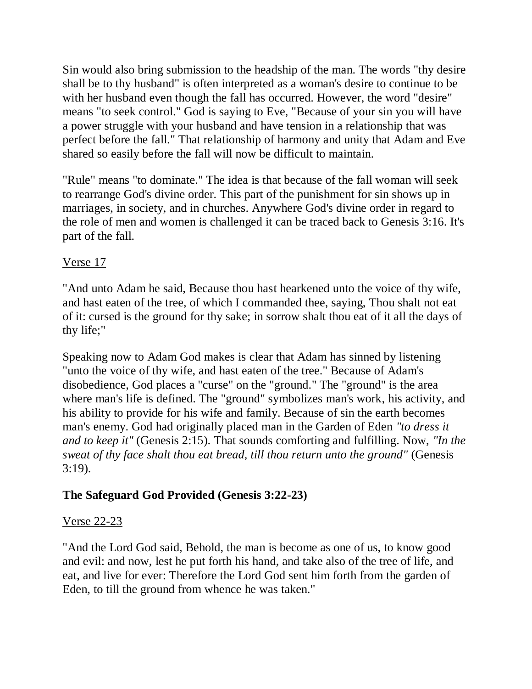Sin would also bring submission to the headship of the man. The words "thy desire shall be to thy husband" is often interpreted as a woman's desire to continue to be with her husband even though the fall has occurred. However, the word "desire" means "to seek control." God is saying to Eve, "Because of your sin you will have a power struggle with your husband and have tension in a relationship that was perfect before the fall." That relationship of harmony and unity that Adam and Eve shared so easily before the fall will now be difficult to maintain.

"Rule" means "to dominate." The idea is that because of the fall woman will seek to rearrange God's divine order. This part of the punishment for sin shows up in marriages, in society, and in churches. Anywhere God's divine order in regard to the role of men and women is challenged it can be traced back to Genesis 3:16. It's part of the fall.

# Verse 17

"And unto Adam he said, Because thou hast hearkened unto the voice of thy wife, and hast eaten of the tree, of which I commanded thee, saying, Thou shalt not eat of it: cursed is the ground for thy sake; in sorrow shalt thou eat of it all the days of thy life;"

Speaking now to Adam God makes is clear that Adam has sinned by listening "unto the voice of thy wife, and hast eaten of the tree." Because of Adam's disobedience, God places a "curse" on the "ground." The "ground" is the area where man's life is defined. The "ground" symbolizes man's work, his activity, and his ability to provide for his wife and family. Because of sin the earth becomes man's enemy. God had originally placed man in the Garden of Eden *"to dress it and to keep it"* (Genesis 2:15). That sounds comforting and fulfilling. Now, *"In the sweat of thy face shalt thou eat bread, till thou return unto the ground"* (Genesis 3:19).

# **The Safeguard God Provided (Genesis 3:22-23)**

## Verse 22-23

"And the Lord God said, Behold, the man is become as one of us, to know good and evil: and now, lest he put forth his hand, and take also of the tree of life, and eat, and live for ever: Therefore the Lord God sent him forth from the garden of Eden, to till the ground from whence he was taken."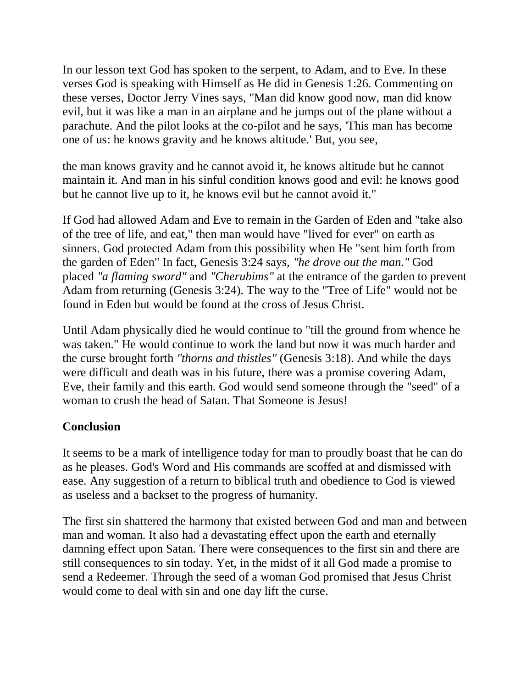In our lesson text God has spoken to the serpent, to Adam, and to Eve. In these verses God is speaking with Himself as He did in Genesis 1:26. Commenting on these verses, Doctor Jerry Vines says, "Man did know good now, man did know evil, but it was like a man in an airplane and he jumps out of the plane without a parachute. And the pilot looks at the co-pilot and he says, 'This man has become one of us: he knows gravity and he knows altitude.' But, you see,

the man knows gravity and he cannot avoid it, he knows altitude but he cannot maintain it. And man in his sinful condition knows good and evil: he knows good but he cannot live up to it, he knows evil but he cannot avoid it."

If God had allowed Adam and Eve to remain in the Garden of Eden and "take also of the tree of life, and eat," then man would have "lived for ever" on earth as sinners. God protected Adam from this possibility when He "sent him forth from the garden of Eden" In fact, Genesis 3:24 says, *"he drove out the man."* God placed *"a flaming sword"* and *"Cherubims"* at the entrance of the garden to prevent Adam from returning (Genesis 3:24). The way to the "Tree of Life" would not be found in Eden but would be found at the cross of Jesus Christ.

Until Adam physically died he would continue to "till the ground from whence he was taken." He would continue to work the land but now it was much harder and the curse brought forth *"thorns and thistles"* (Genesis 3:18). And while the days were difficult and death was in his future, there was a promise covering Adam, Eve, their family and this earth. God would send someone through the "seed" of a woman to crush the head of Satan. That Someone is Jesus!

## **Conclusion**

It seems to be a mark of intelligence today for man to proudly boast that he can do as he pleases. God's Word and His commands are scoffed at and dismissed with ease. Any suggestion of a return to biblical truth and obedience to God is viewed as useless and a backset to the progress of humanity.

The first sin shattered the harmony that existed between God and man and between man and woman. It also had a devastating effect upon the earth and eternally damning effect upon Satan. There were consequences to the first sin and there are still consequences to sin today. Yet, in the midst of it all God made a promise to send a Redeemer. Through the seed of a woman God promised that Jesus Christ would come to deal with sin and one day lift the curse.